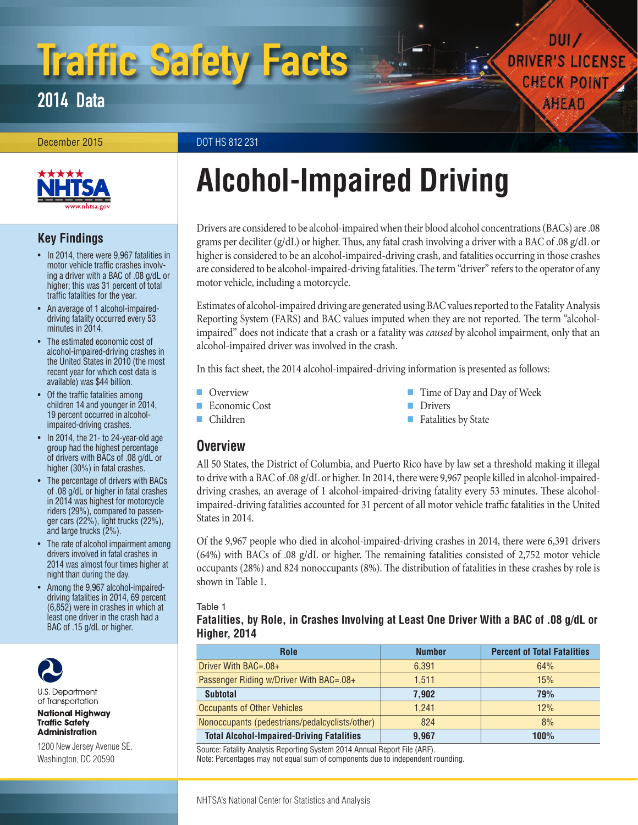# Traffic Safety Facts

2014 Data

December 2015 **December 2015** DOT HS 812 231



# **Key Findings**

- In 2014, there were 9,967 fatalities in motor vehicle traffic crashes involving a driver with a BAC of .08 g/dL or higher; this was 31 percent of total traffic fatalities for the year.
- An average of 1 alcohol-impaireddriving fatality occurred every 53 minutes in 2014.
- The estimated economic cost of alcohol-impaired-driving crashes in the United States in 2010 (the most recent year for which cost data is available) was \$44 billion.
- Of the traffic fatalities among children 14 and younger in 2014, 19 percent occurred in alcoholimpaired-driving crashes.
- In 2014, the 21- to 24-year-old age group had the highest percentage of drivers with BACs of .08 g/dL or higher (30%) in fatal crashes.
- The percentage of drivers with BACs of .08 g/dL or higher in fatal crashes in 2014 was highest for motorcycle riders (29%), compared to passenger cars (22%), light trucks (22%), and large trucks  $(2%)$ .
- The rate of alcohol impairment among drivers involved in fatal crashes in 2014 was almost four times higher at night than during the day.
- Among the 9,967 alcohol-impaireddriving fatalities in 2014, 69 percent (6,852) were in crashes in which at least one driver in the crash had a BAC of .15 g/dL or higher.



U.S. Department of Transportation

**National Highway Traffic Safety Administration** 

1200 New Jersey Avenue SE. Washington, DC 20590

# **Alcohol-Impaired Driving**

Drivers are considered to be alcohol-impaired when their blood alcohol concentrations (BACs) are .08 grams per deciliter (g/dL) or higher. Thus, any fatal crash involving a driver with a BAC of .08 g/dL or higher is considered to be an alcohol-impaired-driving crash, and fatalities occurring in those crashes are considered to be alcohol-impaired-driving fatalities. The term "driver" refers to the operator of any motor vehicle, including a motorcycle.

Estimates of alcohol-impaired driving are generated using BAC values reported to the Fatality Analysis Reporting System (FARS) and BAC values imputed when they are not reported. The term "alcoholimpaired" does not indicate that a crash or a fatality was *caused* by alcohol impairment, only that an alcohol-impaired driver was involved in the crash.

In this fact sheet, the 2014 alcohol-impaired-driving information is presented as follows:

- [Overview](#page-0-0)
- [Economic Cost](#page-1-0)
- -
- [Time of Day and Day of Week](#page-1-2)

 $DUI$ 

**DRIVER'S LICENSE** 

**CHECK POINT** 

AHEAD

- [Drivers](#page-3-0)
- [Fatalities by State](#page-5-0)

# <span id="page-0-0"></span>**Overview**

■ [Children](#page-1-1)

All 50 States, the District of Columbia, and Puerto Rico have by law set a threshold making it illegal to drive with a BAC of .08 g/dL or higher. In 2014, there were 9,967 people killed in alcohol-impaireddriving crashes, an average of 1 alcohol-impaired-driving fatality every 53 minutes. These alcoholimpaired-driving fatalities accounted for 31 percent of all motor vehicle traffic fatalities in the United States in 2014.

Of the 9,967 people who died in alcohol-impaired-driving crashes in 2014, there were 6,391 drivers (64%) with BACs of .08 g/dL or higher. The remaining fatalities consisted of 2,752 motor vehicle occupants (28%) and 824 nonoccupants (8%). The distribution of fatalities in these crashes by role is shown in Table 1.

Table 1

**Fatalities, by Role, in Crashes Involving at Least One Driver With a BAC of .08 g/dL or Higher, 2014**

| <b>Role</b>                                      | <b>Number</b> | <b>Percent of Total Fatalities</b> |
|--------------------------------------------------|---------------|------------------------------------|
| Driver With $BAC = .08 +$                        | 6,391         | 64%                                |
| Passenger Riding w/Driver With BAC=.08+          | 1.511         | 15%                                |
| <b>Subtotal</b>                                  | 7,902         | 79%                                |
| <b>Occupants of Other Vehicles</b>               | 1.241         | 12%                                |
| Nonoccupants (pedestrians/pedalcyclists/other)   | 824           | 8%                                 |
| <b>Total Alcohol-Impaired-Driving Fatalities</b> | 9.967         | <b>100%</b>                        |

Source: Fatality Analysis Reporting System 2014 Annual Report File (ARF).

Note: Percentages may not equal sum of components due to independent rounding.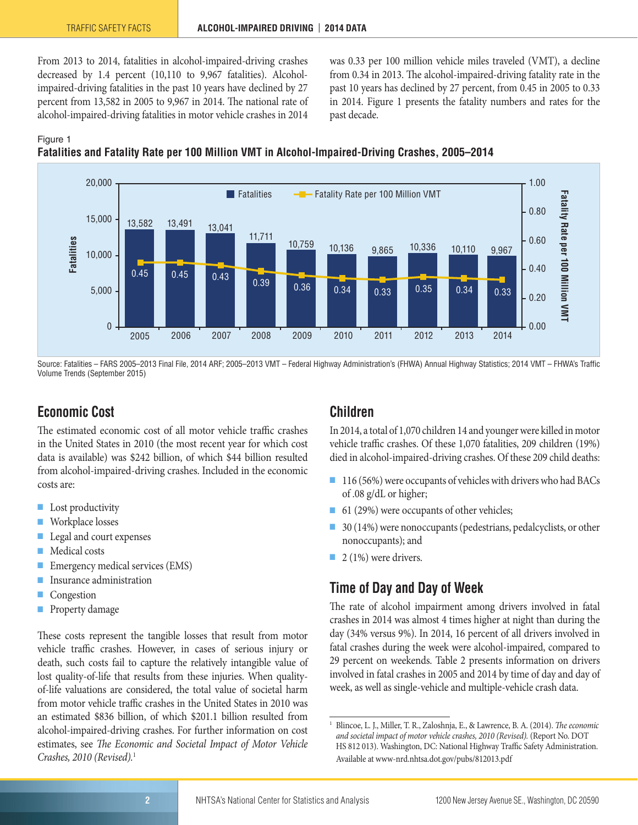From 2013 to 2014, fatalities in alcohol-impaired-driving crashes decreased by 1.4 percent (10,110 to 9,967 fatalities). Alcoholimpaired-driving fatalities in the past 10 years have declined by 27 percent from 13,582 in 2005 to 9,967 in 2014. The national rate of alcohol-impaired-driving fatalities in motor vehicle crashes in 2014 was 0.33 per 100 million vehicle miles traveled (VMT), a decline from 0.34 in 2013. The alcohol-impaired-driving fatality rate in the past 10 years has declined by 27 percent, from 0.45 in 2005 to 0.33 in 2014. Figure 1 presents the fatality numbers and rates for the past decade.

#### Figure 1





Source: Fatalities – FARS 2005–2013 Final File, 2014 ARF; 2005–2013 VMT – Federal Highway Administration's (FHWA) Annual Highway Statistics; 2014 VMT – FHWA's Traffic Volume Trends (September 2015)

# <span id="page-1-0"></span>**Economic Cost**

The estimated economic cost of all motor vehicle traffic crashes in the United States in 2010 (the most recent year for which cost data is available) was \$242 billion, of which \$44 billion resulted from alcohol-impaired-driving crashes. Included in the economic costs are:

- Lost productivity
- Workplace losses
- Legal and court expenses
- Medical costs
- Emergency medical services (EMS)
- Insurance administration
- **Congestion**
- Property damage

These costs represent the tangible losses that result from motor vehicle traffic crashes. However, in cases of serious injury or death, such costs fail to capture the relatively intangible value of lost quality-of-life that results from these injuries. When qualityof-life valuations are considered, the total value of societal harm from motor vehicle traffic crashes in the United States in 2010 was an estimated \$836 billion, of which \$201.1 billion resulted from alcohol-impaired-driving crashes. For further information on cost estimates, see *The Economic and Societal Impact of Motor Vehicle Crashes, 2010 (Revised).*<sup>1</sup>

# <span id="page-1-1"></span>**Children**

In 2014, a total of 1,070 children 14 and younger were killed in motor vehicle traffic crashes. Of these 1,070 fatalities, 209 children (19%) died in alcohol-impaired-driving crashes. Of these 209 child deaths:

- 116 (56%) were occupants of vehicles with drivers who had BACs of .08 g/dL or higher;
- 61 (29%) were occupants of other vehicles;
- 30 (14%) were nonoccupants (pedestrians, pedalcyclists, or other nonoccupants); and
- 2 (1%) were drivers.

# <span id="page-1-2"></span>**Time of Day and Day of Week**

The rate of alcohol impairment among drivers involved in fatal crashes in 2014 was almost 4 times higher at night than during the day (34% versus 9%). In 2014, 16 percent of all drivers involved in fatal crashes during the week were alcohol-impaired, compared to 29 percent on weekends. Table 2 presents information on drivers involved in fatal crashes in 2005 and 2014 by time of day and day of week, as well as single-vehicle and multiple-vehicle crash data.

<sup>1</sup> Blincoe, L. J., Miller, T. R., Zaloshnja, E., & Lawrence, B. A. (2014). *The economic and societal impact of motor vehicle crashes, 2010 (Revised).* (Report No. DOT HS 812 013). Washington, DC: National Highway Traffic Safety Administration. Available at [www-nrd.nhtsa.dot.gov/pubs/812013.pdf](http://www-nrd.nhtsa.dot.gov/pubs/812013.pdf)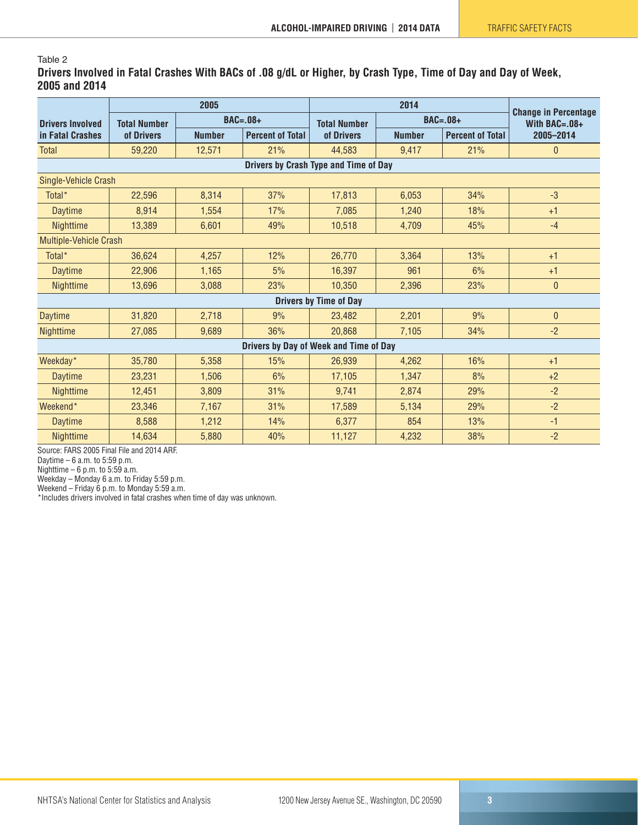#### Table 2

**Drivers Involved in Fatal Crashes With BACs of .08 g/dL or Higher, by Crash Type, Time of Day and Day of Week, 2005 and 2014**

|                                        |                                      | 2005                                     |     |                     | <b>Change in Percentage</b><br>With $BAC = .08 +$ |                         |              |            |  |
|----------------------------------------|--------------------------------------|------------------------------------------|-----|---------------------|---------------------------------------------------|-------------------------|--------------|------------|--|
| <b>Drivers Involved</b>                | $BAC = .08 +$<br><b>Total Number</b> |                                          |     | <b>Total Number</b> |                                                   |                         |              | $BAC=.08+$ |  |
| in Fatal Crashes                       | of Drivers                           | <b>Number</b><br><b>Percent of Total</b> |     | of Drivers          | <b>Number</b>                                     | <b>Percent of Total</b> | 2005-2014    |            |  |
| <b>Total</b>                           | 59,220                               | 12,571                                   | 21% | 44,583              | 9.417                                             | 21%                     | 0            |            |  |
| Drivers by Crash Type and Time of Day  |                                      |                                          |     |                     |                                                   |                         |              |            |  |
| Single-Vehicle Crash                   |                                      |                                          |     |                     |                                                   |                         |              |            |  |
| Total*                                 | 22,596                               | 8,314                                    | 37% | 17,813              | 6,053                                             | 34%                     | $-3$         |            |  |
| <b>Daytime</b>                         | 8,914                                | 1,554                                    | 17% | 7,085               | 1,240                                             | 18%                     | $+1$         |            |  |
| Nighttime                              | 13,389                               | 6,601                                    | 49% | 10,518              | 4,709                                             |                         | $-4$         |            |  |
| <b>Multiple-Vehicle Crash</b>          |                                      |                                          |     |                     |                                                   |                         |              |            |  |
| Total <sup>*</sup>                     | 36,624                               | 4,257                                    | 12% | 26,770              | 3,364                                             | 13%                     | $+1$         |            |  |
| <b>Daytime</b>                         | 22,906                               | 1,165                                    | 5%  | 16,397              | 961                                               | 6%                      | $+1$         |            |  |
| <b>Nighttime</b>                       | 13,696                               | 3,088                                    | 23% | 10,350              | 2,396                                             | 23%                     | $\bf{0}$     |            |  |
| <b>Drivers by Time of Day</b>          |                                      |                                          |     |                     |                                                   |                         |              |            |  |
| <b>Daytime</b>                         | 31,820                               | 2,718                                    | 9%  | 23.482              | 2,201                                             | 9%                      | $\mathbf{0}$ |            |  |
| <b>Nighttime</b>                       | 27.085                               | 9,689                                    | 36% | 20,868              | 7.105                                             | 34%                     | $-2$         |            |  |
| Drivers by Day of Week and Time of Day |                                      |                                          |     |                     |                                                   |                         |              |            |  |
| Weekday*                               | 35,780                               | 5,358                                    | 15% | 26,939              | 4,262                                             | 16%                     | $+1$         |            |  |
| <b>Daytime</b>                         | 23,231                               | 1,506                                    | 6%  | 17,105              | 1,347                                             | 8%                      | $+2$         |            |  |
| Nighttime                              | 12,451                               | 3,809                                    | 31% | 9,741               | 2,874                                             | 29%                     | $-2$         |            |  |
| Weekend <sup>*</sup>                   | 23,346                               | 7,167                                    | 31% | 17,589              | 5,134                                             | 29%                     | $-2$         |            |  |
| <b>Daytime</b>                         | 8,588                                | 1,212                                    | 14% | 6,377               | 854                                               | 13%                     | $-1$         |            |  |
| Nighttime                              | 14,634                               | 5,880                                    | 40% | 11,127              | 4,232                                             | 38%                     | $-2$         |            |  |

Source: FARS 2005 Final File and 2014 ARF.

Daytime – 6 a.m. to 5:59 p.m.

Nighttime – 6 p.m. to 5:59 a.m.

Weekday – Monday 6 a.m. to Friday 5:59 p.m.

Weekend – Friday 6 p.m. to Monday 5:59 a.m.

\*Includes drivers involved in fatal crashes when time of day was unknown.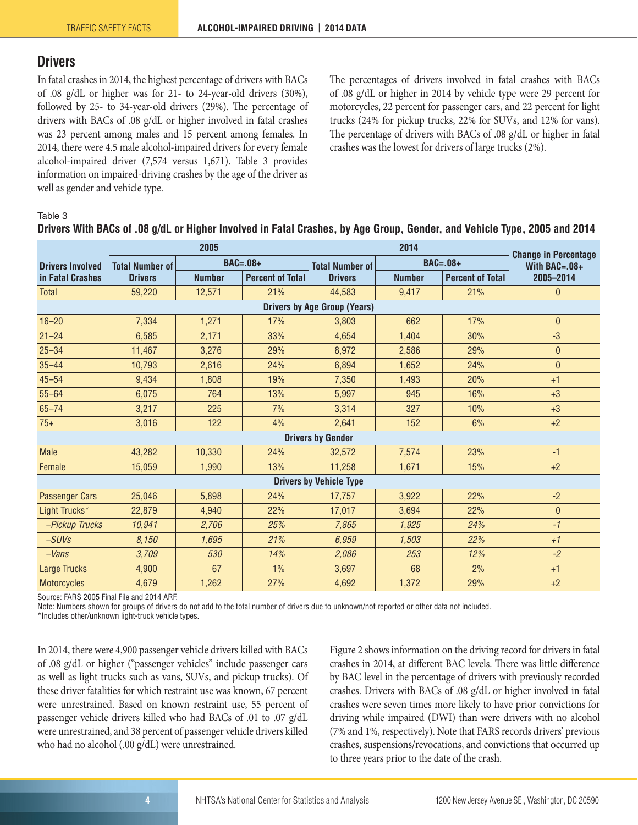# <span id="page-3-0"></span>**Drivers**

In fatal crashes in 2014, the highest percentage of drivers with BACs of .08 g/dL or higher was for 21- to 24-year-old drivers (30%), followed by 25- to 34-year-old drivers (29%). The percentage of drivers with BACs of .08 g/dL or higher involved in fatal crashes was 23 percent among males and 15 percent among females. In 2014, there were 4.5 male alcohol-impaired drivers for every female alcohol-impaired driver (7,574 versus 1,671). Table 3 provides information on impaired-driving crashes by the age of the driver as well as gender and vehicle type.

The percentages of drivers involved in fatal crashes with BACs of .08 g/dL or higher in 2014 by vehicle type were 29 percent for motorcycles, 22 percent for passenger cars, and 22 percent for light trucks (24% for pickup trucks, 22% for SUVs, and 12% for vans). The percentage of drivers with BACs of .08 g/dL or higher in fatal crashes was the lowest for drivers of large trucks (2%).

#### Table 3

|                                     |                        | 2005          |                         |                        | <b>Change in Percentage</b> |                         |                  |  |  |  |
|-------------------------------------|------------------------|---------------|-------------------------|------------------------|-----------------------------|-------------------------|------------------|--|--|--|
| <b>Drivers Involved</b>             | <b>Total Number of</b> | $BAC=.08+$    |                         | <b>Total Number of</b> |                             | $BAC=.08+$              | With BAC= $.08+$ |  |  |  |
| in Fatal Crashes                    | <b>Drivers</b>         | <b>Number</b> | <b>Percent of Total</b> | <b>Drivers</b>         | <b>Number</b>               | <b>Percent of Total</b> | 2005-2014        |  |  |  |
| <b>Total</b>                        | 59,220                 | 12,571        | 21%                     | 44,583                 | 9,417                       | 21%                     | $\mathbf{0}$     |  |  |  |
| <b>Drivers by Age Group (Years)</b> |                        |               |                         |                        |                             |                         |                  |  |  |  |
| $16 - 20$                           | 7,334                  | 1,271         | 17%                     | 3,803                  | 662                         | 17%                     | $\theta$         |  |  |  |
| $21 - 24$                           | 6,585                  | 2,171         | 33%                     | 4,654                  | 1,404                       | 30%                     | $-3$             |  |  |  |
| $25 - 34$                           | 11,467                 | 3,276         | 29%                     | 8,972                  | 2,586                       | 29%                     | $\mathbf{0}$     |  |  |  |
| $35 - 44$                           | 10,793                 | 2,616         | 24%                     | 6,894                  | 1,652                       | 24%                     | $\mathbf 0$      |  |  |  |
| $45 - 54$                           | 9,434                  | 1,808         | 19%                     | 7,350                  | 1,493                       | 20%                     | $+1$             |  |  |  |
| $55 - 64$                           | 6,075                  | 764           | 13%                     | 5,997                  | 945                         | 16%                     | $+3$             |  |  |  |
| $65 - 74$                           | 3,217                  | 225           | 7%                      | 3,314                  | 327                         | 10%                     | $+3$             |  |  |  |
| $75+$                               | 3,016                  | 122           | 4%                      | 2,641                  | 152                         | 6%                      | $+2$             |  |  |  |
| <b>Drivers by Gender</b>            |                        |               |                         |                        |                             |                         |                  |  |  |  |
| <b>Male</b>                         | 43,282                 | 10,330        | 24%                     | 32,572                 | 7,574                       | 23%                     | $-1$             |  |  |  |
| Female                              | 15,059                 | 1,990         | 13%                     | 11,258                 | 1,671                       | 15%                     | $+2$             |  |  |  |
| <b>Drivers by Vehicle Type</b>      |                        |               |                         |                        |                             |                         |                  |  |  |  |
| <b>Passenger Cars</b>               | 25,046                 | 5,898         | 24%                     | 17,757                 | 3,922                       | 22%                     | $-2$             |  |  |  |
| Light Trucks*                       | 22,879                 | 4,940         | 22%                     | 17,017                 | 3,694                       | 22%                     | $\pmb{0}$        |  |  |  |
| -Pickup Trucks                      | 10,941                 | 2,706         | 25%                     | 7,865                  | 1,925                       | 24%                     | $-1$             |  |  |  |
| $-SUVs$                             | 8,150                  | 1,695         | 21%                     | 6,959                  | 1,503                       | 22%                     | $+1$             |  |  |  |
| $-Vans$                             | 3,709                  | 530           | 14%                     | 2,086                  | 253                         | 12%                     | $-2$             |  |  |  |
| <b>Large Trucks</b>                 | 4,900                  | 67            | $1\%$                   | 3,697                  | 68                          | 2%                      | $+1$             |  |  |  |
| <b>Motorcycles</b>                  | 4,679                  | 1,262         | 27%                     | 4,692                  | 1,372                       | 29%                     | $+2$             |  |  |  |

#### **Drivers With BACs of .08 g/dL or Higher Involved in Fatal Crashes, by Age Group, Gender, and Vehicle Type, 2005 and 2014**

Source: FARS 2005 Final File and 2014 ARF.

Note: Numbers shown for groups of drivers do not add to the total number of drivers due to unknown/not reported or other data not included.

\*Includes other/unknown light-truck vehicle types.

In 2014, there were 4,900 passenger vehicle drivers killed with BACs of .08 g/dL or higher ("passenger vehicles" include passenger cars as well as light trucks such as vans, SUVs, and pickup trucks). Of these driver fatalities for which restraint use was known, 67 percent were unrestrained. Based on known restraint use, 55 percent of passenger vehicle drivers killed who had BACs of .01 to .07 g/dL were unrestrained, and 38 percent of passenger vehicle drivers killed who had no alcohol (.00 g/dL) were unrestrained.

Figure 2 shows information on the driving record for drivers in fatal crashes in 2014, at different BAC levels. There was little difference by BAC level in the percentage of drivers with previously recorded crashes. Drivers with BACs of .08 g/dL or higher involved in fatal crashes were seven times more likely to have prior convictions for driving while impaired (DWI) than were drivers with no alcohol (7% and 1%, respectively). Note that FARS records drivers' previous crashes, suspensions/revocations, and convictions that occurred up to three years prior to the date of the crash.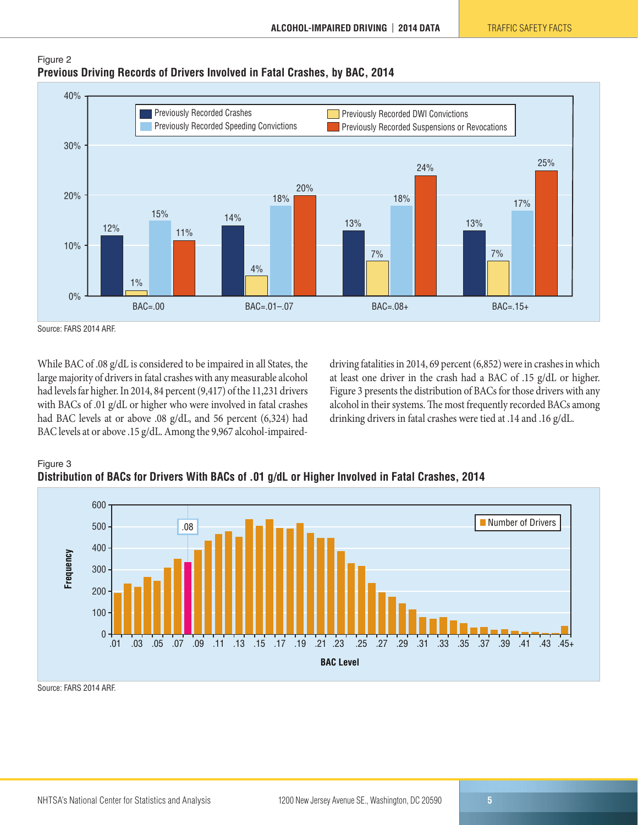

#### Figure 2 **Previous Driving Records of Drivers Involved in Fatal Crashes, by BAC, 2014**

While BAC of .08 g/dL is considered to be impaired in all States, the large majority of drivers in fatal crashes with any measurable alcohol had levels far higher. In 2014, 84 percent (9,417) of the 11,231 drivers with BACs of .01 g/dL or higher who were involved in fatal crashes had BAC levels at or above .08 g/dL, and 56 percent (6,324) had BAC levels at or above .15 g/dL. Among the 9,967 alcohol-impaireddriving fatalities in 2014, 69 percent (6,852) were in crashes in which at least one driver in the crash had a BAC of .15 g/dL or higher. Figure 3 presents the distribution of BACs for those drivers with any alcohol in their systems. The most frequently recorded BACs among drinking drivers in fatal crashes were tied at .14 and .16 g/dL.





Source: FARS 2014 ARF.

Source: FARS 2014 ARF.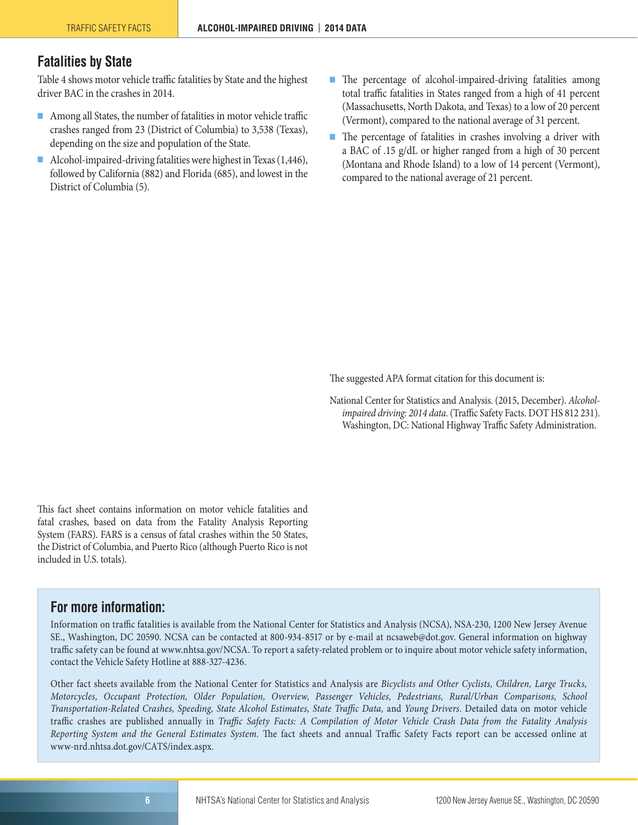# <span id="page-5-0"></span>**Fatalities by State**

Table 4 shows motor vehicle traffic fatalities by State and the highest driver BAC in the crashes in 2014.

- Among all States, the number of fatalities in motor vehicle traffic crashes ranged from 23 (District of Columbia) to 3,538 (Texas), depending on the size and population of the State.
- Alcohol-impaired-driving fatalities were highest in Texas (1,446), followed by California (882) and Florida (685), and lowest in the District of Columbia (5).
- The percentage of alcohol-impaired-driving fatalities among total traffic fatalities in States ranged from a high of 41 percent (Massachusetts, North Dakota, and Texas) to a low of 20 percent (Vermont), compared to the national average of 31 percent.
- The percentage of fatalities in crashes involving a driver with a BAC of .15 g/dL or higher ranged from a high of 30 percent (Montana and Rhode Island) to a low of 14 percent (Vermont), compared to the national average of 21 percent.

The suggested APA format citation for this document is:

National Center for Statistics and Analysis. (2015, December). *Alcoholimpaired driving: 2014 data*. (Traffic Safety Facts. DOT HS 812 231). Washington, DC: National Highway Traffic Safety Administration.

This fact sheet contains information on motor vehicle fatalities and fatal crashes, based on data from the Fatality Analysis Reporting System (FARS). FARS is a census of fatal crashes within the 50 States, the District of Columbia, and Puerto Rico (although Puerto Rico is not included in U.S. totals).

## **For more information:**

Information on traffic fatalities is available from the National Center for Statistics and Analysis (NCSA), NSA-230, 1200 New Jersey Avenue SE., Washington, DC 20590. NCSA can be contacted at 800-934-8517 or by e-mail at [ncsaweb@dot.gov](mailto:ncsaweb@dot.gov). General information on highway traffic safety can be found at [www.nhtsa.gov/NCSA.](http://www.nhtsa.gov/NCSA) To report a safety-related problem or to inquire about motor vehicle safety information, contact the Vehicle Safety Hotline at 888-327-4236.

Other fact sheets available from the National Center for Statistics and Analysis are *Bicyclists and Other Cyclists, Children, Large Trucks, Motorcycles, Occupant Protection, Older Population, Overview, Passenger Vehicles, Pedestrians, Rural/Urban Comparisons, School Transportation-Related Crashes, Speeding, State Alcohol Estimates, State Traffic Data,* and *Young Drivers.* Detailed data on motor vehicle traffic crashes are published annually in *Traffic Safety Facts: A Compilation of Motor Vehicle Crash Data from the Fatality Analysis Reporting System and the General Estimates System.* The fact sheets and annual Traffic Safety Facts report can be accessed online at [www-nrd.nhtsa.dot.gov/CATS/index.aspx](http://www-nrd.nhtsa.dot.gov/CATS/index.aspx).